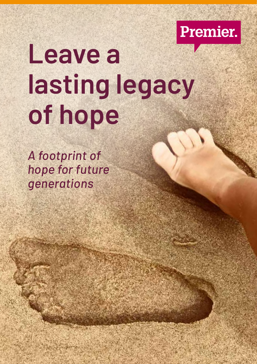

# **Leave a lasting legacy of hope**

*A footprint of hope for future generations*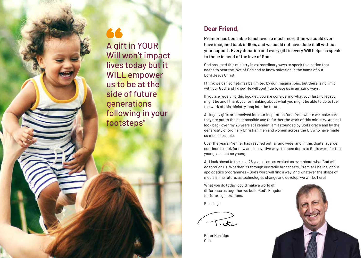### A gift in YOUR Will won't impact lives today but it WILL empower us to be at the side of future generations following in your footsteps"

### **Dear Friend,**

Premier has been able to achieve so much more than we could ever have imagined back in 1995, and we could not have done it all without your support. Every donation and every gift in every Will helps us speak to those in need of the love of God.

God has used this ministry in extraordinary ways to speak to a nation that needs to hear the love of God and to know salvation in the name of our Lord Jesus Christ.

I think we can sometimes be limited by our imaginations, but there is no limit with our God, and I know He will continue to use us in amazing ways.

If you are receiving this booklet, you are considering what your lasting legacy might be and I thank you for thinking about what you might be able to do to fuel the work of this ministry long into the future.

All legacy gifts are received into our Inspiration fund from where we make sure they are put to the best possible use to further the work of this ministry. And as I look back over my 25 years at Premier I am astounded by God's grace and by the generosity of ordinary Christian men and women across the UK who have made so much possible.

Over the years Premier has reached out far and wide, and in this digital age we continue to look for new and innovative ways to open doors to God's word for the young, and not so young.

As I look ahead to the next 25 years, I am as excited as ever about what God will do through us. Whether it's through our radio broadcasts, Premier Lifeline, or our apologetics programmes – God's word will find a way. And whatever the shape of media in the future, as technologies change and develop, we will be here!

What you do today, could make a world of difference as together we build God's Kingdom for future generations.

Blessings,

Peter Kerridge Ceo

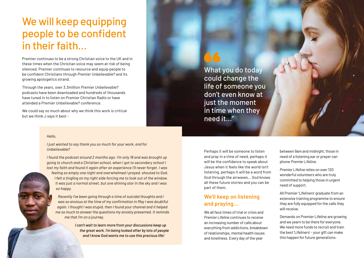### We will keep equipping people to be confident in their faith…

Premier continues to be a strong Christian voice to the UK and in these times when the Christian voice may seem at risk of being silenced, Premier continues to resource and equip people to be confident Christians through *Premier Unbelievable?* and its growing apologetics strand.

Through the years, over 3.3million *Premier Unbelievable?* podcasts have been downloaded and hundreds of thousands have tuned in to listen on Premier Christian Radio or have attended a Premier Unbelievable? conference.

We could say so much about why we think this work is critical but we think J says it best -

What you do today could change the life of someone you don't even know at just the moment in time when they need it..."

#### *Hello,*

*I just wanted to say thank you so much for your work, and for Unbelievable?*

*I found the podcast around 2 months ago. I'm only 18 and was brought up going to church and a Christian school, when I got to secondary school I lost my faith and found it again after an experience I'll never forget. I was feeling so empty one night and overwhelmed I prayed, shouted to God. I felt a tingling on my right side forcing me to look out of the window. It was just a normal street, but one shining star in the sky and I was so happy.* 

*Recently I've been going through a time of suicidal thoughts and I was so anxious at the time of my confirmation in May I was doubtful again. I thought I was stupid, then I found your channel and it helped me so much to answer the questions my anxiety presented. It reminds me that I'm on a journey.*

> *I can't wait to learn more from your discussions keep up the great work. I'm being looked after by lots of people and I know God wants me to use this precious life!*

Perhaps it will be someone to listen and pray in a time of need, perhaps it will be the confidence to speak about Jesus when it feels like the world isn't listening, perhaps it will be a word from God through the airwaves… God knows all these future stories and you can be part of them.

#### **We'll keep on listening and praying…**

We all face times of trial or crisis and *Premier Lifeline* continues to receive an increasing number of calls about everything from addictions, breakdown of relationships, mental health issues and loneliness. Every day of the year

between 9am and midnight, those in need of a listening ear or prayer can phone *Premier Lifeline*.

*Premier Lifeline* relies on over 120 wonderful volunteers who are truly committed to helping those in urgent need of support.

All Premier 'Lifeliners' graduate from an extensive training programme to ensure they are fully equipped for the calls they will receive.

Demands on Premier Lifeline are growing and we yearn to be there for everyone. We need more funds to recruit and train the best 'Lifeliners' - your gift can make this happen for future generations.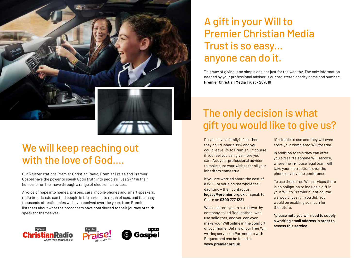

### We will keep reaching out with the love of God….

Our 3 sister stations Premier Christian Radio, Premier Praise and Premier Gospel have the power to speak God's truth into people's lives 24/7 in their homes, or on the move through a range of electronic devices.

A voice of hope into homes, prisons, cars, mobile phones and smart speakers, radio broadcasts can find people in the hardest to reach places, and the many thousands of testimonies we have received over the years from Premier listeners about what the broadcasts have contributed to their journey of faith speak for themselves.



### A gift in your Will to Premier Christian Media Trust is so easy... anyone can do it.

This way of giving is so simple and not just for the wealthy. The only information needed by your professional adviser is our registered charity name and number: **Premier Christian Media Trust - 287610**

## The only decision is what gift you would like to give us?

Do you have a family? If so, then they could inherit 99% and you could leave 1% to Premier. Of course if you feel you can give more you can! Ask your professional adviser to make sure your wishes for all your inheritors come true.

If you are worried about the cost of a Will – or you find the whole task daunting – then contact us. **legacy@premier.org.uk** or speak to Claire on **0300 777 1221**

We can direct you to a trustworthy company called Bequeathed, who use solicitors, and you can even make your Will online in the comfort of your home. Details of our free Will writing service in Partnership with Bequeathed can be found at **www.premier.org.uk.** 

It's simple to use and they will even store your completed Will for free.

In addition to this they can offer you a free \*telephone Will service, where the in-house legal team will take your instructions over the phone or via video conference.

To use these free Will services there is no obligation to include a gift in your Will to Premier but of course we would love it if you did! You would be enabling so much for the future.

**\*please note you will need to supply a working email address in order to access this service**